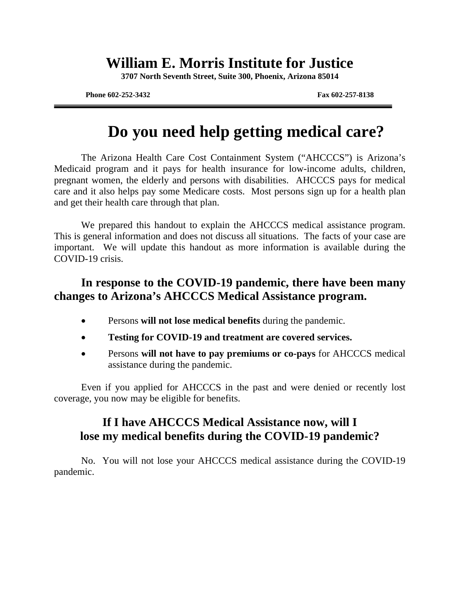# **William E. Morris Institute for Justice**

**3707 North Seventh Street, Suite 300, Phoenix, Arizona 85014**

**Phone 602-252-3432 Fax 602-257-8138** 

# **Do you need help getting medical care?**

The Arizona Health Care Cost Containment System ("AHCCCS") is Arizona's Medicaid program and it pays for health insurance for low-income adults, children, pregnant women, the elderly and persons with disabilities. AHCCCS pays for medical care and it also helps pay some Medicare costs. Most persons sign up for a health plan and get their health care through that plan.

We prepared this handout to explain the AHCCCS medical assistance program. This is general information and does not discuss all situations. The facts of your case are important. We will update this handout as more information is available during the COVID-19 crisis.

# **In response to the COVID-19 pandemic, there have been many changes to Arizona's AHCCCS Medical Assistance program.**

- Persons **will not lose medical benefits** during the pandemic.
- **Testing for COVID-19 and treatment are covered services.**
- Persons **will not have to pay premiums or co-pays** for AHCCCS medical assistance during the pandemic.

Even if you applied for AHCCCS in the past and were denied or recently lost coverage, you now may be eligible for benefits.

# **If I have AHCCCS Medical Assistance now, will I lose my medical benefits during the COVID-19 pandemic?**

No. You will not lose your AHCCCS medical assistance during the COVID-19 pandemic.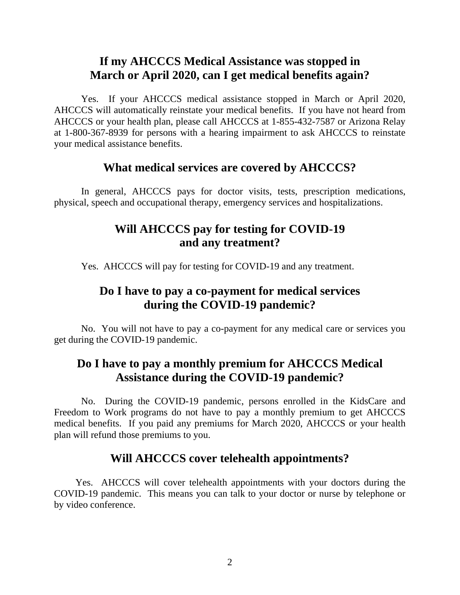### **If my AHCCCS Medical Assistance was stopped in March or April 2020, can I get medical benefits again?**

Yes. If your AHCCCS medical assistance stopped in March or April 2020, AHCCCS will automatically reinstate your medical benefits. If you have not heard from AHCCCS or your health plan, please call AHCCCS at 1-855-432-7587 or Arizona Relay at 1-800-367-8939 for persons with a hearing impairment to ask AHCCCS to reinstate your medical assistance benefits.

#### **What medical services are covered by AHCCCS?**

In general, AHCCCS pays for doctor visits, tests, prescription medications, physical, speech and occupational therapy, emergency services and hospitalizations.

### **Will AHCCCS pay for testing for COVID-19 and any treatment?**

Yes. AHCCCS will pay for testing for COVID-19 and any treatment.

# **Do I have to pay a co-payment for medical services during the COVID-19 pandemic?**

No. You will not have to pay a co-payment for any medical care or services you get during the COVID-19 pandemic.

# **Do I have to pay a monthly premium for AHCCCS Medical Assistance during the COVID-19 pandemic?**

No. During the COVID-19 pandemic, persons enrolled in the KidsCare and Freedom to Work programs do not have to pay a monthly premium to get AHCCCS medical benefits. If you paid any premiums for March 2020, AHCCCS or your health plan will refund those premiums to you.

#### **Will AHCCCS cover telehealth appointments?**

Yes. AHCCCS will cover telehealth appointments with your doctors during the COVID-19 pandemic. This means you can talk to your doctor or nurse by telephone or by video conference.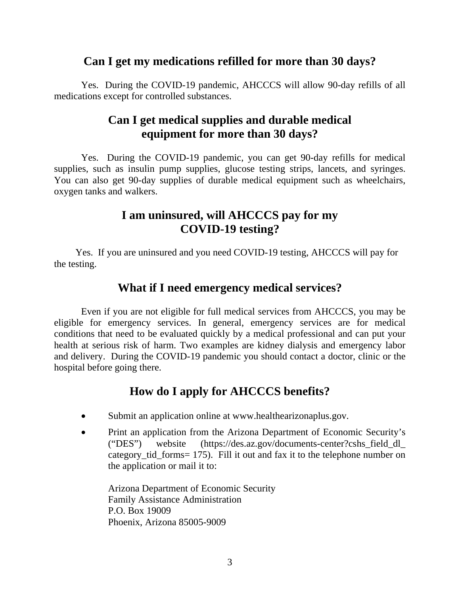#### **Can I get my medications refilled for more than 30 days?**

Yes. During the COVID-19 pandemic, AHCCCS will allow 90-day refills of all medications except for controlled substances.

# **Can I get medical supplies and durable medical equipment for more than 30 days?**

Yes. During the COVID-19 pandemic, you can get 90-day refills for medical supplies, such as insulin pump supplies, glucose testing strips, lancets, and syringes. You can also get 90-day supplies of durable medical equipment such as wheelchairs, oxygen tanks and walkers.

#### **I am uninsured, will AHCCCS pay for my COVID-19 testing?**

Yes. If you are uninsured and you need COVID-19 testing, AHCCCS will pay for the testing.

# **What if I need emergency medical services?**

Even if you are not eligible for full medical services from AHCCCS, you may be eligible for emergency services. In general, emergency services are for medical conditions that need to be evaluated quickly by a medical professional and can put your health at serious risk of harm. Two examples are kidney dialysis and emergency labor and delivery. During the COVID-19 pandemic you should contact a doctor, clinic or the hospital before going there.

# **How do I apply for AHCCCS benefits?**

- Submit an application online at www.healthearizonaplus.gov.
- Print an application from the Arizona Department of Economic Security's ("DES") website (https://des.az.gov/documents-center?cshs\_field\_dl\_ category\_tid\_forms= 175). Fill it out and fax it to the telephone number on the application or mail it to:

Arizona Department of Economic Security Family Assistance Administration P.O. Box 19009 Phoenix, Arizona 85005-9009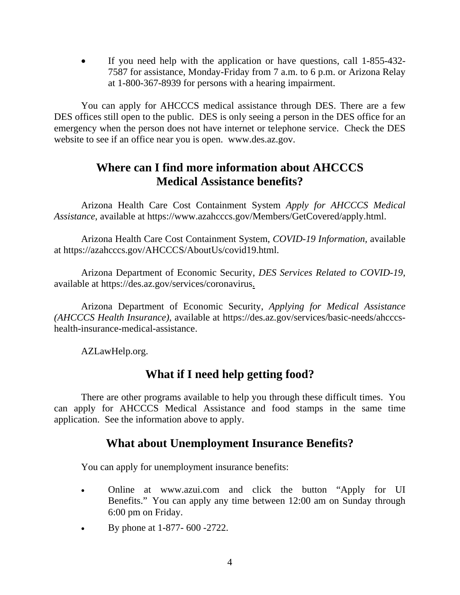If you need help with the application or have questions, call 1-855-432-7587 for assistance, Monday-Friday from 7 a.m. to 6 p.m. or Arizona Relay at 1-800-367-8939 for persons with a hearing impairment.

You can apply for AHCCCS medical assistance through DES. There are a few DES offices still open to the public. DES is only seeing a person in the DES office for an emergency when the person does not have internet or telephone service. Check the DES website to see if an office near you is open. www.des.az.gov.

# **Where can I find more information about AHCCCS Medical Assistance benefits?**

Arizona Health Care Cost Containment System *Apply for AHCCCS Medical Assistance*, available at https://www.azahcccs.gov/Members/GetCovered/apply.html.

Arizona Health Care Cost Containment System, *COVID-19 Information,* available at https://azahcccs.gov/AHCCCS/AboutUs/covid19.html.

Arizona Department of Economic Security, *DES Services Related to COVID-19*, available at https://des.az.gov/services/coronavirus.

Arizona Department of Economic Security, *Applying for Medical Assistance (AHCCCS Health Insurance)*, available at https://des.az.gov/services/basic-needs/ahcccshealth-insurance-medical-assistance.

AZLawHelp.org.

#### **What if I need help getting food?**

There are other programs available to help you through these difficult times. You can apply for AHCCCS Medical Assistance and food stamps in the same time application. See the information above to apply.

#### **What about Unemployment Insurance Benefits?**

You can apply for unemployment insurance benefits:

- Online at www.azui.com and click the button "Apply for UI Benefits." You can apply any time between 12:00 am on Sunday through 6:00 pm on Friday.
- By phone at 1-877- 600 -2722.